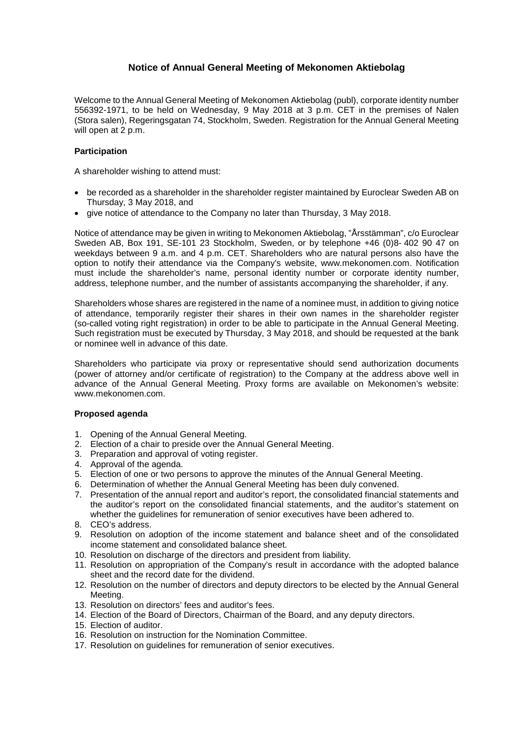# **Notice of Annual General Meeting of Mekonomen Aktiebolag**

Welcome to the Annual General Meeting of Mekonomen Aktiebolag (publ), corporate identity number 556392-1971, to be held on Wednesday, 9 May 2018 at 3 p.m. CET in the premises of Nalen (Stora salen), Regeringsgatan 74, Stockholm, Sweden. Registration for the Annual General Meeting will open at 2 p.m.

# **Participation**

A shareholder wishing to attend must:

- be recorded as a shareholder in the shareholder register maintained by Euroclear Sweden AB on Thursday, 3 May 2018, and
- give notice of attendance to the Company no later than Thursday, 3 May 2018.

Notice of attendance may be given in writing to Mekonomen Aktiebolag, "Årsstämman", c/o Euroclear Sweden AB, Box 191, SE-101 23 Stockholm, Sweden, or by telephone +46 (0)8- 402 90 47 on weekdays between 9 a.m. and 4 p.m. CET. Shareholders who are natural persons also have the option to notify their attendance via the Company's website, www.mekonomen.com. Notification must include the shareholder's name, personal identity number or corporate identity number, address, telephone number, and the number of assistants accompanying the shareholder, if any.

Shareholders whose shares are registered in the name of a nominee must, in addition to giving notice of attendance, temporarily register their shares in their own names in the shareholder register (so-called voting right registration) in order to be able to participate in the Annual General Meeting. Such registration must be executed by Thursday, 3 May 2018, and should be requested at the bank or nominee well in advance of this date.

Shareholders who participate via proxy or representative should send authorization documents (power of attorney and/or certificate of registration) to the Company at the address above well in advance of the Annual General Meeting. Proxy forms are available on Mekonomen's website: www.mekonomen.com.

# **Proposed agenda**

- 1. Opening of the Annual General Meeting.
- 2. Election of a chair to preside over the Annual General Meeting.
- 3. Preparation and approval of voting register.
- 4. Approval of the agenda.
- 5. Election of one or two persons to approve the minutes of the Annual General Meeting.
- 6. Determination of whether the Annual General Meeting has been duly convened.
- 7. Presentation of the annual report and auditor's report, the consolidated financial statements and the auditor's report on the consolidated financial statements, and the auditor's statement on whether the guidelines for remuneration of senior executives have been adhered to.
- 8. CEO's address.
- 9. Resolution on adoption of the income statement and balance sheet and of the consolidated income statement and consolidated balance sheet.
- 10. Resolution on discharge of the directors and president from liability.
- 11. Resolution on appropriation of the Company's result in accordance with the adopted balance sheet and the record date for the dividend.
- 12. Resolution on the number of directors and deputy directors to be elected by the Annual General Meeting.
- 13. Resolution on directors' fees and auditor's fees.
- 14. Election of the Board of Directors, Chairman of the Board, and any deputy directors.
- 15. Election of auditor.
- 16. Resolution on instruction for the Nomination Committee.
- 17. Resolution on guidelines for remuneration of senior executives.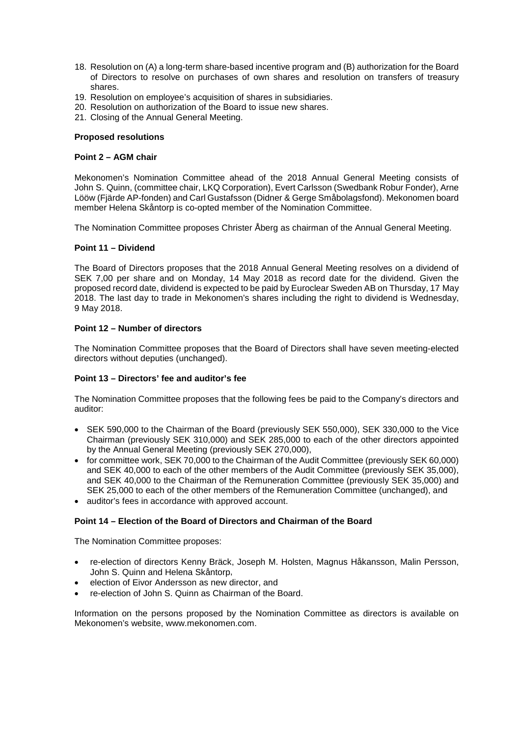- 18. Resolution on (A) a long-term share-based incentive program and (B) authorization for the Board of Directors to resolve on purchases of own shares and resolution on transfers of treasury shares.
- 19. Resolution on employee's acquisition of shares in subsidiaries.
- 20. Resolution on authorization of the Board to issue new shares.
- 21. Closing of the Annual General Meeting.

#### **Proposed resolutions**

## **Point 2 – AGM chair**

Mekonomen's Nomination Committee ahead of the 2018 Annual General Meeting consists of John S. Quinn, (committee chair, LKQ Corporation), Evert Carlsson (Swedbank Robur Fonder), Arne Lööw (Fjärde AP-fonden) and Carl Gustafsson (Didner & Gerge Småbolagsfond). Mekonomen board member Helena Skåntorp is co-opted member of the Nomination Committee.

The Nomination Committee proposes Christer Åberg as chairman of the Annual General Meeting.

## **Point 11 – Dividend**

The Board of Directors proposes that the 2018 Annual General Meeting resolves on a dividend of SEK 7,00 per share and on Monday, 14 May 2018 as record date for the dividend. Given the proposed record date, dividend is expected to be paid by Euroclear Sweden AB on Thursday, 17 May 2018. The last day to trade in Mekonomen's shares including the right to dividend is Wednesday, 9 May 2018.

## **Point 12 – Number of directors**

The Nomination Committee proposes that the Board of Directors shall have seven meeting-elected directors without deputies (unchanged).

# **Point 13 – Directors' fee and auditor's fee**

The Nomination Committee proposes that the following fees be paid to the Company's directors and auditor:

- SEK 590,000 to the Chairman of the Board (previously SEK 550,000), SEK 330,000 to the Vice Chairman (previously SEK 310,000) and SEK 285,000 to each of the other directors appointed by the Annual General Meeting (previously SEK 270,000),
- for committee work, SEK 70,000 to the Chairman of the Audit Committee (previously SEK 60,000) and SEK 40,000 to each of the other members of the Audit Committee (previously SEK 35,000), and SEK 40,000 to the Chairman of the Remuneration Committee (previously SEK 35,000) and SEK 25,000 to each of the other members of the Remuneration Committee (unchanged), and
- auditor's fees in accordance with approved account.

## **Point 14 – Election of the Board of Directors and Chairman of the Board**

The Nomination Committee proposes:

- re-election of directors Kenny Bräck, Joseph M. Holsten, Magnus Håkansson, Malin Persson, John S. Quinn and Helena Skåntorp,
- election of Eivor Andersson as new director, and
- re-election of John S. Quinn as Chairman of the Board.

Information on the persons proposed by the Nomination Committee as directors is available on Mekonomen's website, www.mekonomen.com.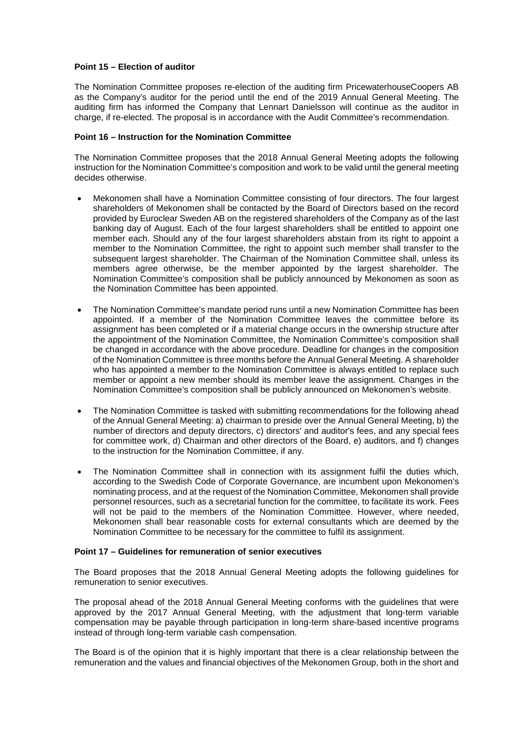## **Point 15 – Election of auditor**

The Nomination Committee proposes re-election of the auditing firm PricewaterhouseCoopers AB as the Company's auditor for the period until the end of the 2019 Annual General Meeting. The auditing firm has informed the Company that Lennart Danielsson will continue as the auditor in charge, if re-elected. The proposal is in accordance with the Audit Committee's recommendation.

#### **Point 16 – Instruction for the Nomination Committee**

The Nomination Committee proposes that the 2018 Annual General Meeting adopts the following instruction for the Nomination Committee's composition and work to be valid until the general meeting decides otherwise.

- Mekonomen shall have a Nomination Committee consisting of four directors. The four largest shareholders of Mekonomen shall be contacted by the Board of Directors based on the record provided by Euroclear Sweden AB on the registered shareholders of the Company as of the last banking day of August. Each of the four largest shareholders shall be entitled to appoint one member each. Should any of the four largest shareholders abstain from its right to appoint a member to the Nomination Committee, the right to appoint such member shall transfer to the subsequent largest shareholder. The Chairman of the Nomination Committee shall, unless its members agree otherwise, be the member appointed by the largest shareholder. The Nomination Committee's composition shall be publicly announced by Mekonomen as soon as the Nomination Committee has been appointed.
- The Nomination Committee's mandate period runs until a new Nomination Committee has been appointed. If a member of the Nomination Committee leaves the committee before its assignment has been completed or if a material change occurs in the ownership structure after the appointment of the Nomination Committee, the Nomination Committee's composition shall be changed in accordance with the above procedure. Deadline for changes in the composition of the Nomination Committee is three months before the Annual General Meeting. A shareholder who has appointed a member to the Nomination Committee is always entitled to replace such member or appoint a new member should its member leave the assignment. Changes in the Nomination Committee's composition shall be publicly announced on Mekonomen's website.
- The Nomination Committee is tasked with submitting recommendations for the following ahead of the Annual General Meeting: a) chairman to preside over the Annual General Meeting, b) the number of directors and deputy directors, c) directors' and auditor's fees, and any special fees for committee work, d) Chairman and other directors of the Board, e) auditors, and f) changes to the instruction for the Nomination Committee, if any.
- The Nomination Committee shall in connection with its assignment fulfil the duties which, according to the Swedish Code of Corporate Governance, are incumbent upon Mekonomen's nominating process, and at the request of the Nomination Committee, Mekonomen shall provide personnel resources, such as a secretarial function for the committee, to facilitate its work. Fees will not be paid to the members of the Nomination Committee. However, where needed, Mekonomen shall bear reasonable costs for external consultants which are deemed by the Nomination Committee to be necessary for the committee to fulfil its assignment.

#### **Point 17 – Guidelines for remuneration of senior executives**

The Board proposes that the 2018 Annual General Meeting adopts the following guidelines for remuneration to senior executives.

The proposal ahead of the 2018 Annual General Meeting conforms with the guidelines that were approved by the 2017 Annual General Meeting, with the adjustment that long-term variable compensation may be payable through participation in long-term share-based incentive programs instead of through long-term variable cash compensation.

The Board is of the opinion that it is highly important that there is a clear relationship between the remuneration and the values and financial objectives of the Mekonomen Group, both in the short and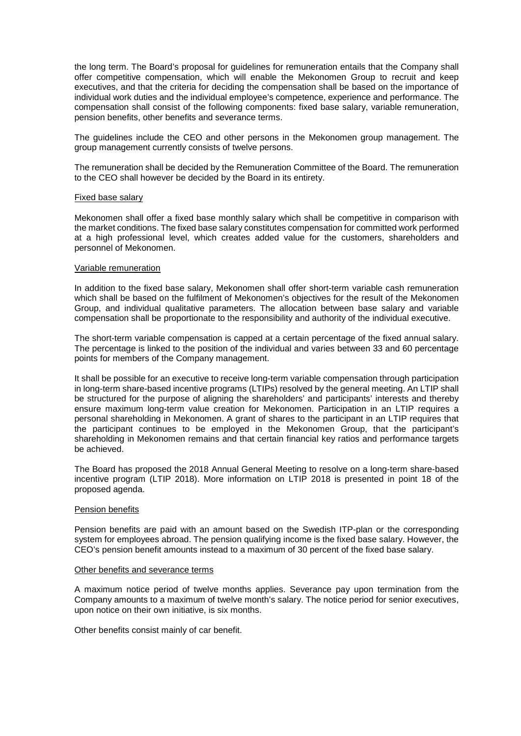the long term. The Board's proposal for guidelines for remuneration entails that the Company shall offer competitive compensation, which will enable the Mekonomen Group to recruit and keep executives, and that the criteria for deciding the compensation shall be based on the importance of individual work duties and the individual employee's competence, experience and performance. The compensation shall consist of the following components: fixed base salary, variable remuneration, pension benefits, other benefits and severance terms.

The guidelines include the CEO and other persons in the Mekonomen group management. The group management currently consists of twelve persons.

The remuneration shall be decided by the Remuneration Committee of the Board. The remuneration to the CEO shall however be decided by the Board in its entirety.

#### Fixed base salary

Mekonomen shall offer a fixed base monthly salary which shall be competitive in comparison with the market conditions. The fixed base salary constitutes compensation for committed work performed at a high professional level, which creates added value for the customers, shareholders and personnel of Mekonomen.

#### Variable remuneration

In addition to the fixed base salary, Mekonomen shall offer short-term variable cash remuneration which shall be based on the fulfilment of Mekonomen's objectives for the result of the Mekonomen Group, and individual qualitative parameters. The allocation between base salary and variable compensation shall be proportionate to the responsibility and authority of the individual executive.

The short-term variable compensation is capped at a certain percentage of the fixed annual salary. The percentage is linked to the position of the individual and varies between 33 and 60 percentage points for members of the Company management.

It shall be possible for an executive to receive long-term variable compensation through participation in long-term share-based incentive programs (LTIPs) resolved by the general meeting. An LTIP shall be structured for the purpose of aligning the shareholders' and participants' interests and thereby ensure maximum long-term value creation for Mekonomen. Participation in an LTIP requires a personal shareholding in Mekonomen. A grant of shares to the participant in an LTIP requires that the participant continues to be employed in the Mekonomen Group, that the participant's shareholding in Mekonomen remains and that certain financial key ratios and performance targets be achieved.

The Board has proposed the 2018 Annual General Meeting to resolve on a long-term share-based incentive program (LTIP 2018). More information on LTIP 2018 is presented in point 18 of the proposed agenda.

#### Pension benefits

Pension benefits are paid with an amount based on the Swedish ITP-plan or the corresponding system for employees abroad. The pension qualifying income is the fixed base salary. However, the CEO's pension benefit amounts instead to a maximum of 30 percent of the fixed base salary.

#### Other benefits and severance terms

A maximum notice period of twelve months applies. Severance pay upon termination from the Company amounts to a maximum of twelve month's salary. The notice period for senior executives, upon notice on their own initiative, is six months.

Other benefits consist mainly of car benefit.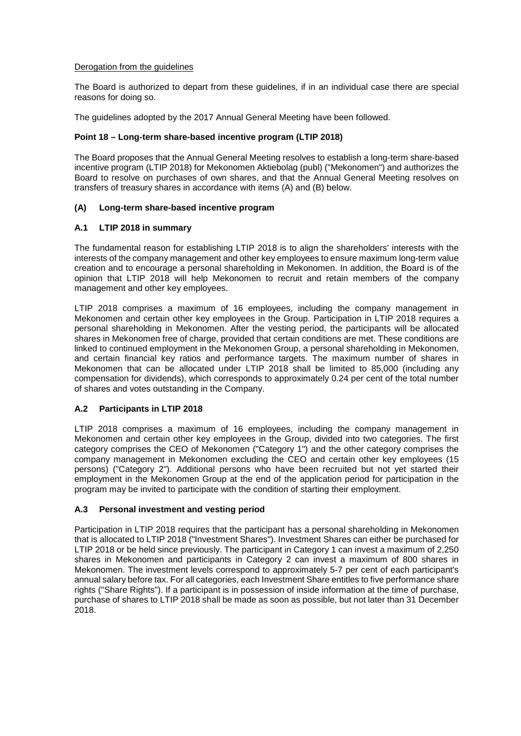## Derogation from the guidelines

The Board is authorized to depart from these guidelines, if in an individual case there are special reasons for doing so.

The guidelines adopted by the 2017 Annual General Meeting have been followed.

## **Point 18 – Long-term share-based incentive program (LTIP 2018)**

The Board proposes that the Annual General Meeting resolves to establish a long-term share-based incentive program (LTIP 2018) for Mekonomen Aktiebolag (publ) ("Mekonomen") and authorizes the Board to resolve on purchases of own shares, and that the Annual General Meeting resolves on transfers of treasury shares in accordance with items (A) and (B) below.

# **(A) Long-term share-based incentive program**

## **A.1 LTIP 2018 in summary**

The fundamental reason for establishing LTIP 2018 is to align the shareholders' interests with the interests of the company management and other key employees to ensure maximum long-term value creation and to encourage a personal shareholding in Mekonomen. In addition, the Board is of the opinion that LTIP 2018 will help Mekonomen to recruit and retain members of the company management and other key employees.

LTIP 2018 comprises a maximum of 16 employees, including the company management in Mekonomen and certain other key employees in the Group. Participation in LTIP 2018 requires a personal shareholding in Mekonomen. After the vesting period, the participants will be allocated shares in Mekonomen free of charge, provided that certain conditions are met. These conditions are linked to continued employment in the Mekonomen Group, a personal shareholding in Mekonomen, and certain financial key ratios and performance targets. The maximum number of shares in Mekonomen that can be allocated under LTIP 2018 shall be limited to 85,000 (including any compensation for dividends), which corresponds to approximately 0.24 per cent of the total number of shares and votes outstanding in the Company.

# **A.2 Participants in LTIP 2018**

LTIP 2018 comprises a maximum of 16 employees, including the company management in Mekonomen and certain other key employees in the Group, divided into two categories. The first category comprises the CEO of Mekonomen ("Category 1") and the other category comprises the company management in Mekonomen excluding the CEO and certain other key employees (15 persons) ("Category 2"). Additional persons who have been recruited but not yet started their employment in the Mekonomen Group at the end of the application period for participation in the program may be invited to participate with the condition of starting their employment.

# **A.3 Personal investment and vesting period**

Participation in LTIP 2018 requires that the participant has a personal shareholding in Mekonomen that is allocated to LTIP 2018 ("Investment Shares"). Investment Shares can either be purchased for LTIP 2018 or be held since previously. The participant in Category 1 can invest a maximum of 2,250 shares in Mekonomen and participants in Category 2 can invest a maximum of 800 shares in Mekonomen. The investment levels correspond to approximately 5-7 per cent of each participant's annual salary before tax. For all categories, each Investment Share entitles to five performance share rights ("Share Rights"). If a participant is in possession of inside information at the time of purchase, purchase of shares to LTIP 2018 shall be made as soon as possible, but not later than 31 December 2018.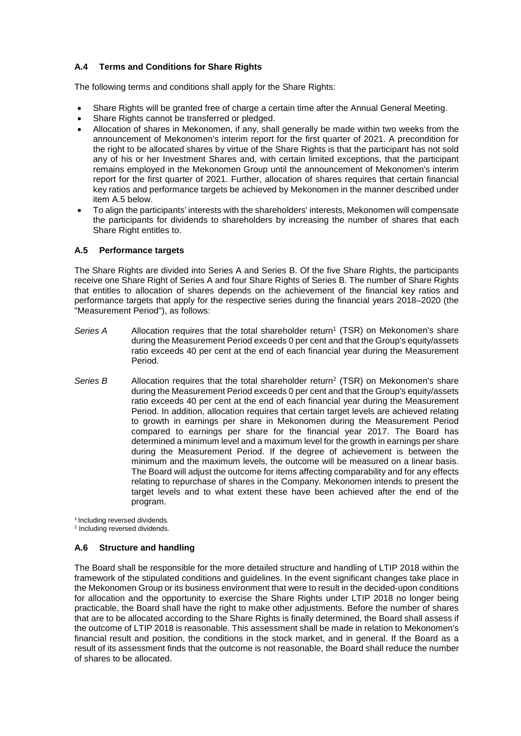# **A.4 Terms and Conditions for Share Rights**

The following terms and conditions shall apply for the Share Rights:

- Share Rights will be granted free of charge a certain time after the Annual General Meeting.
- Share Rights cannot be transferred or pledged.
- Allocation of shares in Mekonomen, if any, shall generally be made within two weeks from the announcement of Mekonomen's interim report for the first quarter of 2021. A precondition for the right to be allocated shares by virtue of the Share Rights is that the participant has not sold any of his or her Investment Shares and, with certain limited exceptions, that the participant remains employed in the Mekonomen Group until the announcement of Mekonomen's interim report for the first quarter of 2021. Further, allocation of shares requires that certain financial key ratios and performance targets be achieved by Mekonomen in the manner described under item A.5 below.
- To align the participants' interests with the shareholders' interests, Mekonomen will compensate the participants for dividends to shareholders by increasing the number of shares that each Share Right entitles to.

# **A.5 Performance targets**

The Share Rights are divided into Series A and Series B. Of the five Share Rights, the participants receive one Share Right of Series A and four Share Rights of Series B. The number of Share Rights that entitles to allocation of shares depends on the achievement of the financial key ratios and performance targets that apply for the respective series during the financial years 2018–2020 (the "Measurement Period"), as follows:

- Series A Allocation requires that the total shareholder return<sup>1</sup> (TSR) on Mekonomen's share during the Measurement Period exceeds 0 per cent and that the Group's equity/assets ratio exceeds 40 per cent at the end of each financial year during the Measurement Period.
- Series B Allocation requires that the total shareholder return<sup>2</sup> (TSR) on Mekonomen's share during the Measurement Period exceeds 0 per cent and that the Group's equity/assets ratio exceeds 40 per cent at the end of each financial year during the Measurement Period. In addition, allocation requires that certain target levels are achieved relating to growth in earnings per share in Mekonomen during the Measurement Period compared to earnings per share for the financial year 2017. The Board has determined a minimum level and a maximum level for the growth in earnings per share during the Measurement Period. If the degree of achievement is between the minimum and the maximum levels, the outcome will be measured on a linear basis. The Board will adjust the outcome for items affecting comparability and for any effects relating to repurchase of shares in the Company. Mekonomen intends to present the target levels and to what extent these have been achieved after the end of the program.

<sup>1</sup> Including reversed dividends.

<sup>2</sup> Including reversed dividends.

# **A.6 Structure and handling**

The Board shall be responsible for the more detailed structure and handling of LTIP 2018 within the framework of the stipulated conditions and guidelines. In the event significant changes take place in the Mekonomen Group or its business environment that were to result in the decided-upon conditions for allocation and the opportunity to exercise the Share Rights under LTIP 2018 no longer being practicable, the Board shall have the right to make other adjustments. Before the number of shares that are to be allocated according to the Share Rights is finally determined, the Board shall assess if the outcome of LTIP 2018 is reasonable. This assessment shall be made in relation to Mekonomen's financial result and position, the conditions in the stock market, and in general. If the Board as a result of its assessment finds that the outcome is not reasonable, the Board shall reduce the number of shares to be allocated.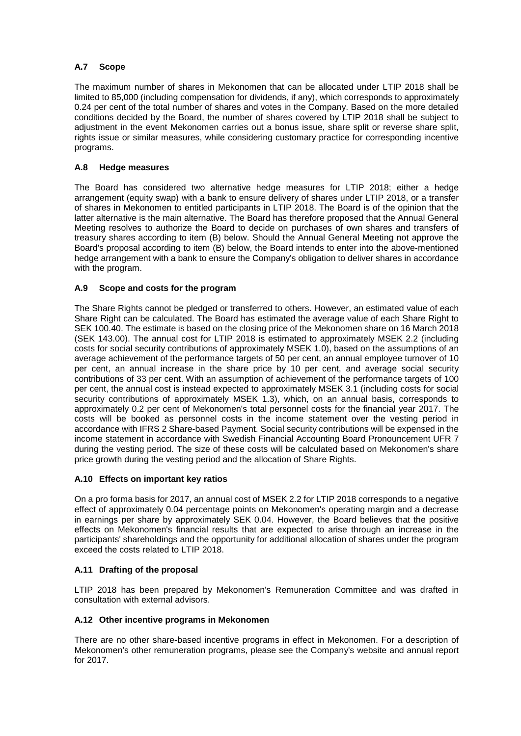# **A.7 Scope**

The maximum number of shares in Mekonomen that can be allocated under LTIP 2018 shall be limited to 85,000 (including compensation for dividends, if any), which corresponds to approximately 0.24 per cent of the total number of shares and votes in the Company. Based on the more detailed conditions decided by the Board, the number of shares covered by LTIP 2018 shall be subject to adjustment in the event Mekonomen carries out a bonus issue, share split or reverse share split, rights issue or similar measures, while considering customary practice for corresponding incentive programs.

# **A.8 Hedge measures**

The Board has considered two alternative hedge measures for LTIP 2018; either a hedge arrangement (equity swap) with a bank to ensure delivery of shares under LTIP 2018, or a transfer of shares in Mekonomen to entitled participants in LTIP 2018. The Board is of the opinion that the latter alternative is the main alternative. The Board has therefore proposed that the Annual General Meeting resolves to authorize the Board to decide on purchases of own shares and transfers of treasury shares according to item (B) below. Should the Annual General Meeting not approve the Board's proposal according to item (B) below, the Board intends to enter into the above-mentioned hedge arrangement with a bank to ensure the Company's obligation to deliver shares in accordance with the program.

# **A.9 Scope and costs for the program**

The Share Rights cannot be pledged or transferred to others. However, an estimated value of each Share Right can be calculated. The Board has estimated the average value of each Share Right to SEK 100.40. The estimate is based on the closing price of the Mekonomen share on 16 March 2018 (SEK 143.00). The annual cost for LTIP 2018 is estimated to approximately MSEK 2.2 (including costs for social security contributions of approximately MSEK 1.0), based on the assumptions of an average achievement of the performance targets of 50 per cent, an annual employee turnover of 10 per cent, an annual increase in the share price by 10 per cent, and average social security contributions of 33 per cent. With an assumption of achievement of the performance targets of 100 per cent, the annual cost is instead expected to approximately MSEK 3.1 (including costs for social security contributions of approximately MSEK 1.3), which, on an annual basis, corresponds to approximately 0.2 per cent of Mekonomen's total personnel costs for the financial year 2017. The costs will be booked as personnel costs in the income statement over the vesting period in accordance with IFRS 2 Share-based Payment. Social security contributions will be expensed in the income statement in accordance with Swedish Financial Accounting Board Pronouncement UFR 7 during the vesting period. The size of these costs will be calculated based on Mekonomen's share price growth during the vesting period and the allocation of Share Rights.

# **A.10 Effects on important key ratios**

On a pro forma basis for 2017, an annual cost of MSEK 2.2 for LTIP 2018 corresponds to a negative effect of approximately 0.04 percentage points on Mekonomen's operating margin and a decrease in earnings per share by approximately SEK 0.04. However, the Board believes that the positive effects on Mekonomen's financial results that are expected to arise through an increase in the participants' shareholdings and the opportunity for additional allocation of shares under the program exceed the costs related to LTIP 2018.

# **A.11 Drafting of the proposal**

LTIP 2018 has been prepared by Mekonomen's Remuneration Committee and was drafted in consultation with external advisors.

# **A.12 Other incentive programs in Mekonomen**

There are no other share-based incentive programs in effect in Mekonomen. For a description of Mekonomen's other remuneration programs, please see the Company's website and annual report for 2017.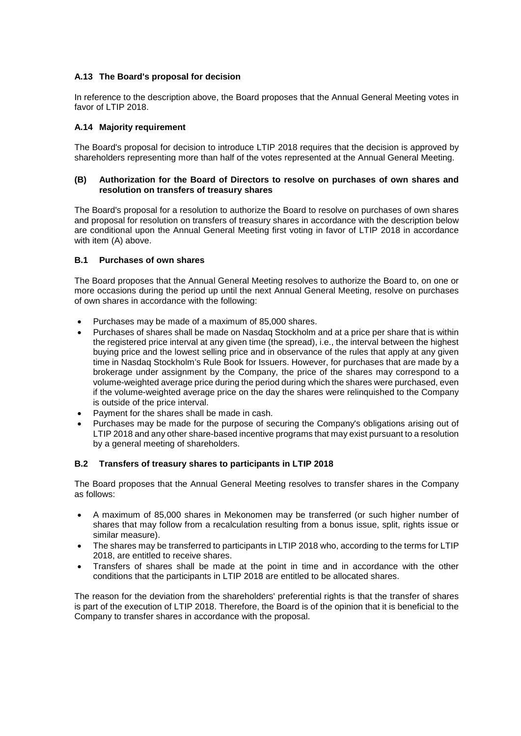# **A.13 The Board's proposal for decision**

In reference to the description above, the Board proposes that the Annual General Meeting votes in favor of LTIP 2018.

## **A.14 Majority requirement**

The Board's proposal for decision to introduce LTIP 2018 requires that the decision is approved by shareholders representing more than half of the votes represented at the Annual General Meeting.

#### **(B) Authorization for the Board of Directors to resolve on purchases of own shares and resolution on transfers of treasury shares**

The Board's proposal for a resolution to authorize the Board to resolve on purchases of own shares and proposal for resolution on transfers of treasury shares in accordance with the description below are conditional upon the Annual General Meeting first voting in favor of LTIP 2018 in accordance with item (A) above.

## **B.1 Purchases of own shares**

The Board proposes that the Annual General Meeting resolves to authorize the Board to, on one or more occasions during the period up until the next Annual General Meeting, resolve on purchases of own shares in accordance with the following:

- Purchases may be made of a maximum of 85,000 shares.
- Purchases of shares shall be made on Nasdaq Stockholm and at a price per share that is within the registered price interval at any given time (the spread), i.e., the interval between the highest buying price and the lowest selling price and in observance of the rules that apply at any given time in Nasdaq Stockholm's Rule Book for Issuers. However, for purchases that are made by a brokerage under assignment by the Company, the price of the shares may correspond to a volume-weighted average price during the period during which the shares were purchased, even if the volume-weighted average price on the day the shares were relinquished to the Company is outside of the price interval.
- Payment for the shares shall be made in cash.
- Purchases may be made for the purpose of securing the Company's obligations arising out of LTIP 2018 and any other share-based incentive programs that may exist pursuant to a resolution by a general meeting of shareholders.

#### **B.2 Transfers of treasury shares to participants in LTIP 2018**

The Board proposes that the Annual General Meeting resolves to transfer shares in the Company as follows:

- A maximum of 85,000 shares in Mekonomen may be transferred (or such higher number of shares that may follow from a recalculation resulting from a bonus issue, split, rights issue or similar measure).
- The shares may be transferred to participants in LTIP 2018 who, according to the terms for LTIP 2018, are entitled to receive shares.
- Transfers of shares shall be made at the point in time and in accordance with the other conditions that the participants in LTIP 2018 are entitled to be allocated shares.

The reason for the deviation from the shareholders' preferential rights is that the transfer of shares is part of the execution of LTIP 2018. Therefore, the Board is of the opinion that it is beneficial to the Company to transfer shares in accordance with the proposal.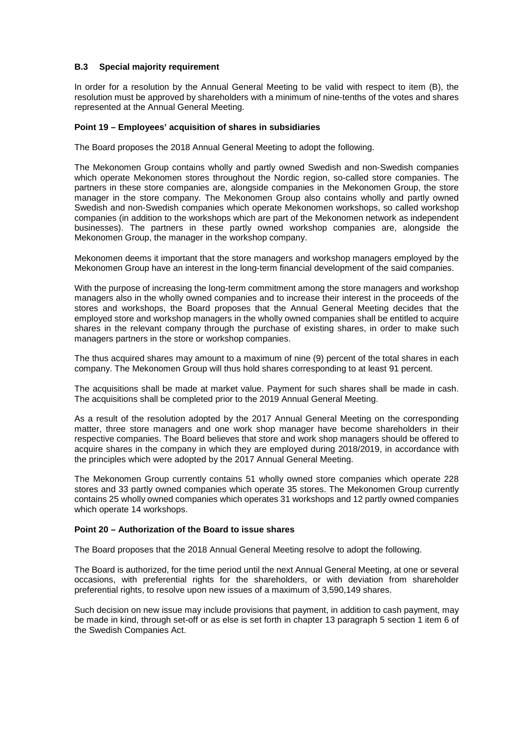# **B.3 Special majority requirement**

In order for a resolution by the Annual General Meeting to be valid with respect to item (B), the resolution must be approved by shareholders with a minimum of nine-tenths of the votes and shares represented at the Annual General Meeting.

#### **Point 19 – Employees' acquisition of shares in subsidiaries**

The Board proposes the 2018 Annual General Meeting to adopt the following.

The Mekonomen Group contains wholly and partly owned Swedish and non-Swedish companies which operate Mekonomen stores throughout the Nordic region, so-called store companies. The partners in these store companies are, alongside companies in the Mekonomen Group, the store manager in the store company. The Mekonomen Group also contains wholly and partly owned Swedish and non-Swedish companies which operate Mekonomen workshops, so called workshop companies (in addition to the workshops which are part of the Mekonomen network as independent businesses). The partners in these partly owned workshop companies are, alongside the Mekonomen Group, the manager in the workshop company.

Mekonomen deems it important that the store managers and workshop managers employed by the Mekonomen Group have an interest in the long-term financial development of the said companies.

With the purpose of increasing the long-term commitment among the store managers and workshop managers also in the wholly owned companies and to increase their interest in the proceeds of the stores and workshops, the Board proposes that the Annual General Meeting decides that the employed store and workshop managers in the wholly owned companies shall be entitled to acquire shares in the relevant company through the purchase of existing shares, in order to make such managers partners in the store or workshop companies.

The thus acquired shares may amount to a maximum of nine (9) percent of the total shares in each company. The Mekonomen Group will thus hold shares corresponding to at least 91 percent.

The acquisitions shall be made at market value. Payment for such shares shall be made in cash. The acquisitions shall be completed prior to the 2019 Annual General Meeting.

As a result of the resolution adopted by the 2017 Annual General Meeting on the corresponding matter, three store managers and one work shop manager have become shareholders in their respective companies. The Board believes that store and work shop managers should be offered to acquire shares in the company in which they are employed during 2018/2019, in accordance with the principles which were adopted by the 2017 Annual General Meeting.

The Mekonomen Group currently contains 51 wholly owned store companies which operate 228 stores and 33 partly owned companies which operate 35 stores. The Mekonomen Group currently contains 25 wholly owned companies which operates 31 workshops and 12 partly owned companies which operate 14 workshops.

#### **Point 20 – Authorization of the Board to issue shares**

The Board proposes that the 2018 Annual General Meeting resolve to adopt the following.

The Board is authorized, for the time period until the next Annual General Meeting, at one or several occasions, with preferential rights for the shareholders, or with deviation from shareholder preferential rights, to resolve upon new issues of a maximum of 3,590,149 shares.

Such decision on new issue may include provisions that payment, in addition to cash payment, may be made in kind, through set-off or as else is set forth in chapter 13 paragraph 5 section 1 item 6 of the Swedish Companies Act.